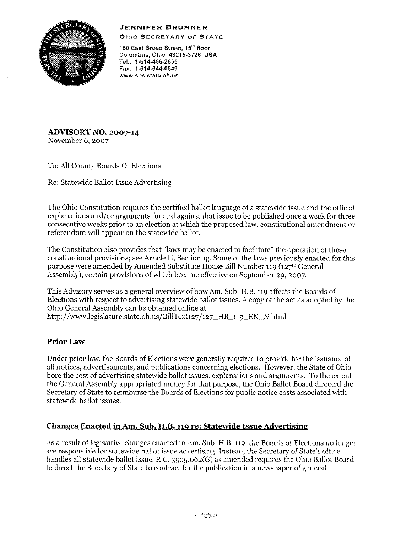## **JENNIFER BRUNNER**



OHIO SECRETARY OF STATE

**180 East Broad Street, 15th floor**  Columbus, Ohio 43215-3726 USA TeL: 1·614-466-2655 Fax: 1-614-644-0649 **www.sos.state.oh.us** 

**ADVISORY NO. 2007-14**  November 6, 2007

To: All County Boards Of Elections

Re: Statewide Ballot Issue Advertising

The Ohio Constitution requires the certified ballot language of a statewide issue and the official explanations and/or arguments for and against that issue to be published once a week for three consecutive weeks prior to an election at which the proposed law, constitutional amendment or referendum will appear on the statewide ballot.

The Constitution also provides that "laws may be enacted to facilitate" the operation of these constitutional provisions; see Article II, Section 1g. Some of the laws previously enacted for this purpose were amended by Amended Substitute House Bill Number 119 (127th General Assembly), certain provisions of which became effective on September 29, 2007.

This Advisory serves as a general overview of how Am. Sub. H.B. 119 affects the Boards of Elections with respect to advertising statewide ballot issues. A copy of the act as adopted by the Ohio General Assembly can be obtained online at http://www.legislature.state.oh.us/BillText127/127\_HB\_119\_EN\_N.html

## **Prior Law**

Under prior law, the Boards of Elections were generally required to provide for the issuance of all notices, advertisements, and publications concerning elections. However, the State of Ohio bore the cost of advertising statewide ballot issues, explanations and arguments. To the extent the General Assembly appropriated money for that purpose, the Ohio Ballot Board directed the Secretary of State to reimburse the Boards of Elections for public notice costs associated with statewide ballot issues.

## **Changes Enacted in Am. Sub. H.B. 119 re: Statewide Issue Advertising**

As a result oflegislative changes enacted in Am. Sub. H.B. 119, the Boards of Elections no longer are responsible for statewide ballot issue advertising. Instead, the Secretary of State's office handles all statewide ballot issue. R.C. 3505.062(G) as amended requires the Ohio Ballot Board to direct the Secretary of State to contract for the publication in a newspaper of general